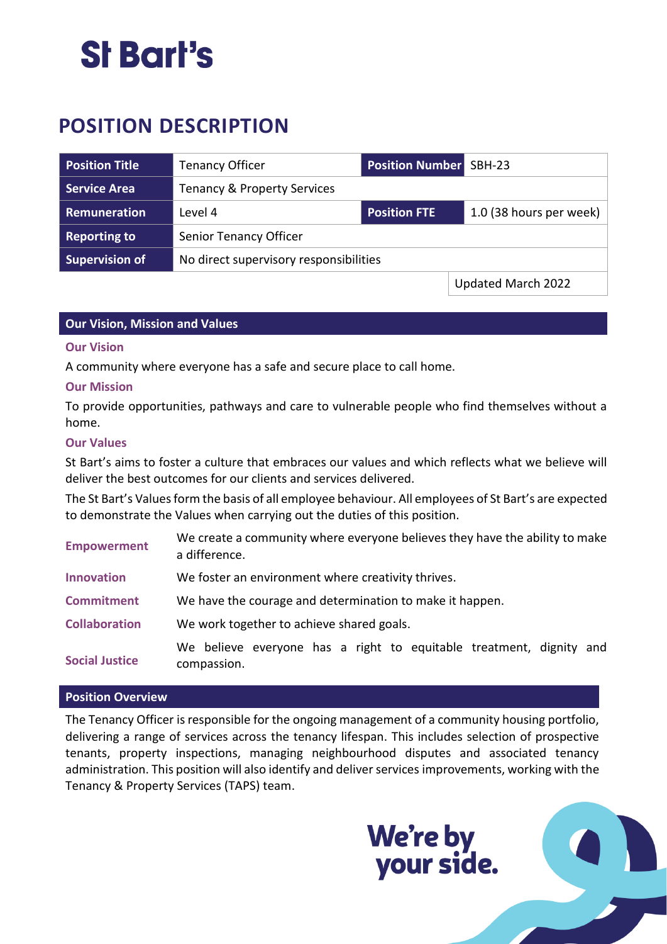### St Bart's

### **POSITION DESCRIPTION**

| <b>Position Title</b> | <b>Tenancy Officer</b>                 | <b>Position Number</b> SBH-23 |                                 |
|-----------------------|----------------------------------------|-------------------------------|---------------------------------|
| <b>Service Area</b>   | <b>Tenancy &amp; Property Services</b> |                               |                                 |
| Remuneration          | Level 4                                | <b>Position FTE</b>           | 1.0 (38 hours per week) $\vert$ |
| <b>Reporting to</b>   | Senior Tenancy Officer                 |                               |                                 |
| <b>Supervision of</b> | No direct supervisory responsibilities |                               |                                 |
|                       |                                        |                               | Updated March 2022              |

#### **Our Vision, Mission and Values**

#### **Our Vision**

A community where everyone has a safe and secure place to call home.

#### **Our Mission**

To provide opportunities, pathways and care to vulnerable people who find themselves without a home.

#### **Our Values**

St Bart's aims to foster a culture that embraces our values and which reflects what we believe will deliver the best outcomes for our clients and services delivered.

The St Bart's Values form the basis of all employee behaviour. All employees of St Bart's are expected to demonstrate the Values when carrying out the duties of this position.

| <b>Empowerment</b>    | We create a community where everyone believes they have the ability to make<br>a difference. |  |  |
|-----------------------|----------------------------------------------------------------------------------------------|--|--|
| <b>Innovation</b>     | We foster an environment where creativity thrives.                                           |  |  |
| <b>Commitment</b>     | We have the courage and determination to make it happen.                                     |  |  |
| <b>Collaboration</b>  | We work together to achieve shared goals.                                                    |  |  |
| <b>Social Justice</b> | We believe everyone has a right to equitable treatment, dignity and<br>compassion.           |  |  |

#### **Position Overview**

The Tenancy Officer is responsible for the ongoing management of a community housing portfolio, delivering a range of services across the tenancy lifespan. This includes selection of prospective tenants, property inspections, managing neighbourhood disputes and associated tenancy administration. This position will also identify and deliver services improvements, working with the Tenancy & Property Services (TAPS) team.

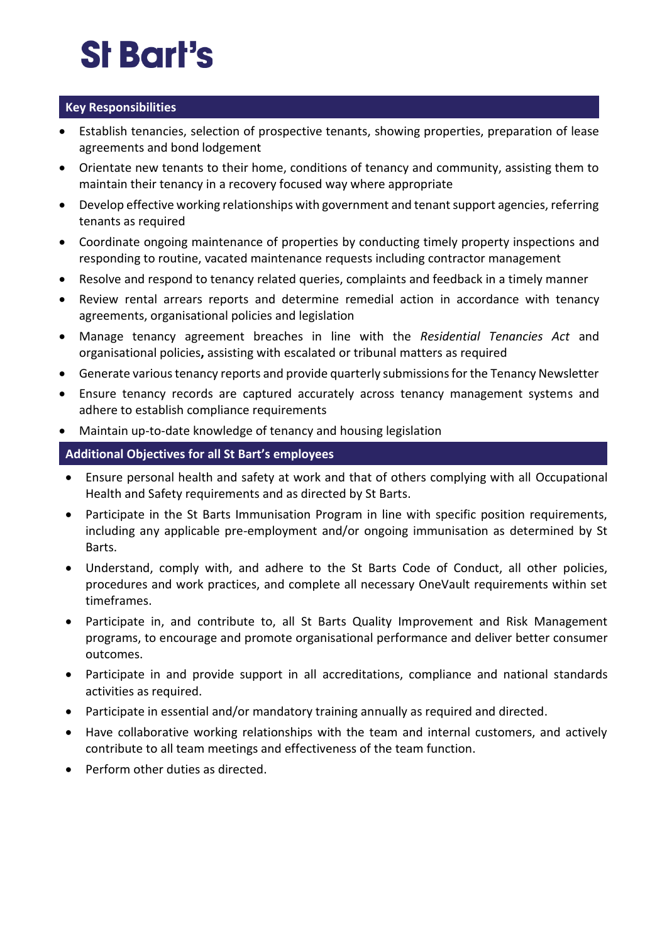# **St Bart's**

#### **Key Responsibilities**

- Establish tenancies, selection of prospective tenants, showing properties, preparation of lease agreements and bond lodgement
- Orientate new tenants to their home, conditions of tenancy and community, assisting them to maintain their tenancy in a recovery focused way where appropriate
- Develop effective working relationships with government and tenant support agencies, referring tenants as required
- Coordinate ongoing maintenance of properties by conducting timely property inspections and responding to routine, vacated maintenance requests including contractor management
- Resolve and respond to tenancy related queries, complaints and feedback in a timely manner
- Review rental arrears reports and determine remedial action in accordance with tenancy agreements, organisational policies and legislation
- Manage tenancy agreement breaches in line with the *Residential Tenancies Act* and organisational policies**,** assisting with escalated or tribunal matters as required
- Generate various tenancy reports and provide quarterly submissions for the Tenancy Newsletter
- Ensure tenancy records are captured accurately across tenancy management systems and adhere to establish compliance requirements
- Maintain up-to-date knowledge of tenancy and housing legislation

#### **Additional Objectives for all St Bart's employees**

- Ensure personal health and safety at work and that of others complying with all Occupational Health and Safety requirements and as directed by St Barts.
- Participate in the St Barts Immunisation Program in line with specific position requirements, including any applicable pre-employment and/or ongoing immunisation as determined by St Barts.
- Understand, comply with, and adhere to the St Barts Code of Conduct, all other policies, procedures and work practices, and complete all necessary OneVault requirements within set timeframes.
- Participate in, and contribute to, all St Barts Quality Improvement and Risk Management programs, to encourage and promote organisational performance and deliver better consumer outcomes.
- Participate in and provide support in all accreditations, compliance and national standards activities as required.
- Participate in essential and/or mandatory training annually as required and directed.
- Have collaborative working relationships with the team and internal customers, and actively contribute to all team meetings and effectiveness of the team function.
- Perform other duties as directed.